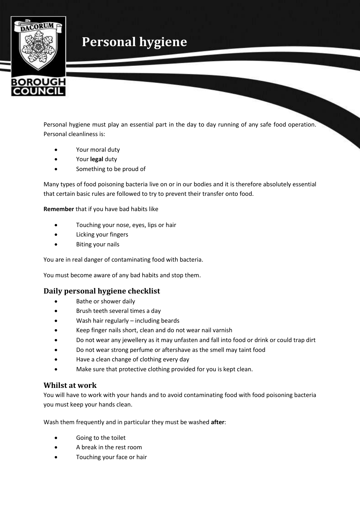# **Personal hygiene**



Personal hygiene must play an essential part in the day to day running of any safe food operation. Personal cleanliness is:

- Your moral duty
- Your **legal** duty
- Something to be proud of

Many types of food poisoning bacteria live on or in our bodies and it is therefore absolutely essential that certain basic rules are followed to try to prevent their transfer onto food.

**Remember** that if you have bad habits like

- Touching your nose, eyes, lips or hair
- Licking your fingers
- Biting your nails

You are in real danger of contaminating food with bacteria.

You must become aware of any bad habits and stop them.

# **Daily personal hygiene checklist**

- Bathe or shower daily
- Brush teeth several times a day
- Wash hair regularly including beards
- Keep finger nails short, clean and do not wear nail varnish
- Do not wear any jewellery as it may unfasten and fall into food or drink or could trap dirt
- Do not wear strong perfume or aftershave as the smell may taint food
- Have a clean change of clothing every day
- Make sure that protective clothing provided for you is kept clean.

## **Whilst at work**

You will have to work with your hands and to avoid contaminating food with food poisoning bacteria you must keep your hands clean.

Wash them frequently and in particular they must be washed **after**:

- Going to the toilet
- A break in the rest room
- Touching your face or hair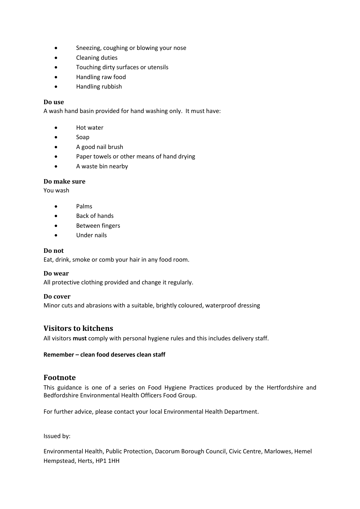- Sneezing, coughing or blowing your nose
- Cleaning duties
- Touching dirty surfaces or utensils
- Handling raw food
- Handling rubbish

#### **Do use**

A wash hand basin provided for hand washing only. It must have:

- Hot water
- Soap
- A good nail brush
- Paper towels or other means of hand drying
- A waste bin nearby

## **Do make sure**

You wash

- Palms
- Back of hands
- Between fingers
- Under nails

#### **Do not**

Eat, drink, smoke or comb your hair in any food room.

## **Do wear**

All protective clothing provided and change it regularly.

## **Do cover**

Minor cuts and abrasions with a suitable, brightly coloured, waterproof dressing

# **Visitors to kitchens**

All visitors **must** comply with personal hygiene rules and this includes delivery staff.

#### **Remember – clean food deserves clean staff**

# **Footnote**

This guidance is one of a series on Food Hygiene Practices produced by the Hertfordshire and Bedfordshire Environmental Health Officers Food Group.

For further advice, please contact your local Environmental Health Department.

Issued by:

Environmental Health, Public Protection, Dacorum Borough Council, Civic Centre, Marlowes, Hemel Hempstead, Herts, HP1 1HH